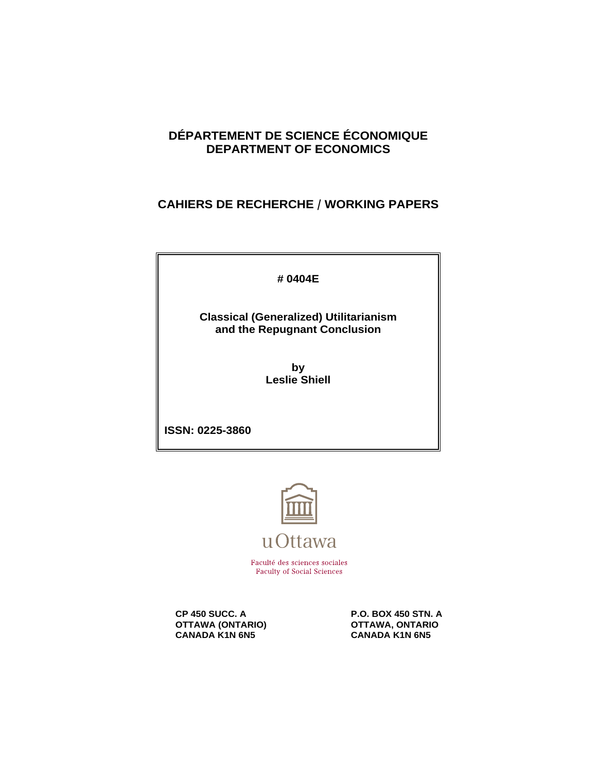# **DÉPARTEMENT DE SCIENCE ÉCONOMIQUE DEPARTMENT OF ECONOMICS**

# **CAHIERS DE RECHERCHE / WORKING PAPERS**

**# 0404E**

**Classical (Generalized) Utilitarianism and the Repugnant Conclusion**

> **by Leslie Shiell**

**ISSN: 0225-3860**



Faculté des sciences sociales **Faculty of Social Sciences** 

**OTTAWA (ONTARIO) CANADA KANA CANADA KANA GANADA KANA GANADA KANA GANADA KANA GANADA KANA GANADA KANA GANADA KANA GANADA KANA GANADA KANA GANADA KANA GANADA KANA GANADA KANA GANADA KANA GANADA KANA GANADA KANA GANADA KANA CANADA K1N 6N5** 

**CP 450 SUCC. A P.O. BOX 450 STN. A P.O. BOX 450 STN. A**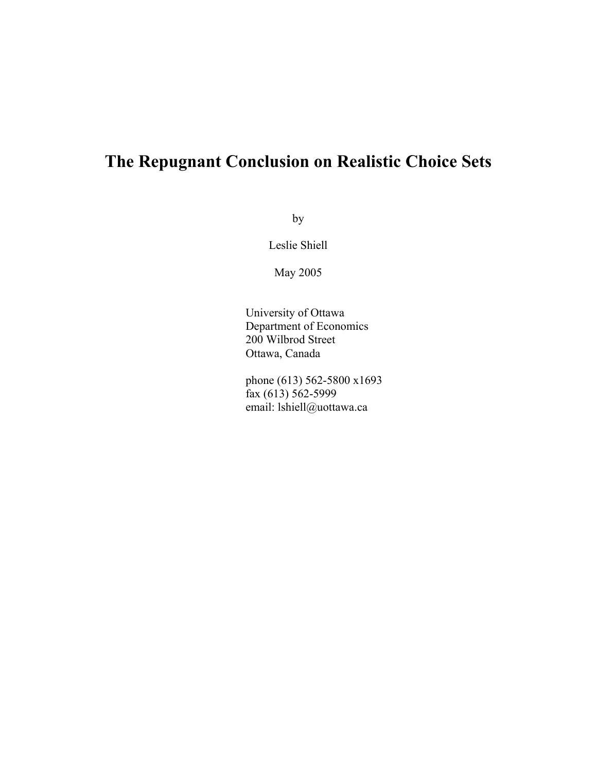# **The Repugnant Conclusion on Realistic Choice Sets**

by

Leslie Shiell

May 2005

University of Ottawa Department of Economics 200 Wilbrod Street Ottawa, Canada

phone (613) 562-5800 x1693 fax (613) 562-5999 email: lshiell@uottawa.ca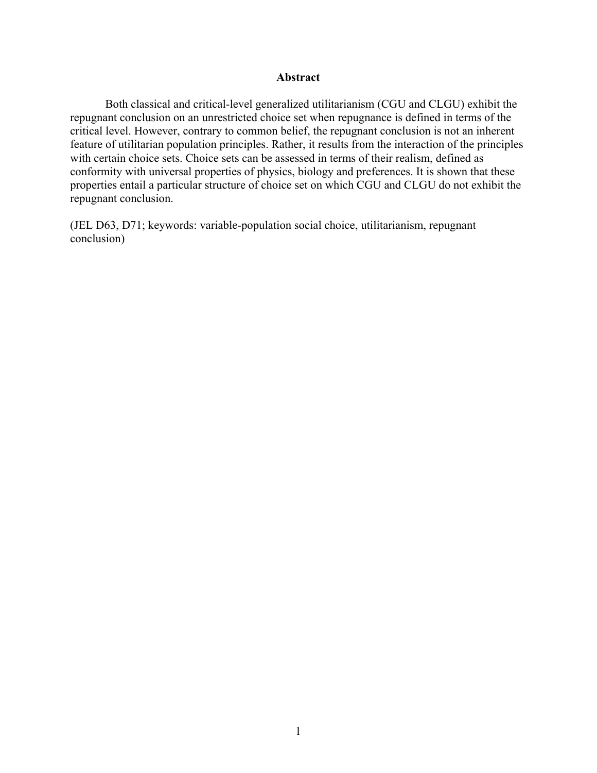# **Abstract**

Both classical and critical-level generalized utilitarianism (CGU and CLGU) exhibit the repugnant conclusion on an unrestricted choice set when repugnance is defined in terms of the critical level. However, contrary to common belief, the repugnant conclusion is not an inherent feature of utilitarian population principles. Rather, it results from the interaction of the principles with certain choice sets. Choice sets can be assessed in terms of their realism, defined as conformity with universal properties of physics, biology and preferences. It is shown that these properties entail a particular structure of choice set on which CGU and CLGU do not exhibit the repugnant conclusion.

(JEL D63, D71; keywords: variable-population social choice, utilitarianism, repugnant conclusion)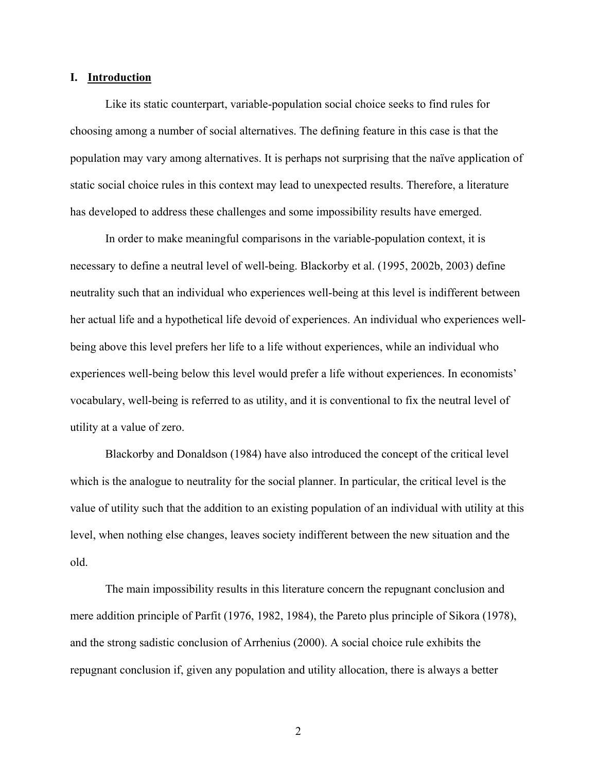#### **I. Introduction**

Like its static counterpart, variable-population social choice seeks to find rules for choosing among a number of social alternatives. The defining feature in this case is that the population may vary among alternatives. It is perhaps not surprising that the naïve application of static social choice rules in this context may lead to unexpected results. Therefore, a literature has developed to address these challenges and some impossibility results have emerged.

In order to make meaningful comparisons in the variable-population context, it is necessary to define a neutral level of well-being. Blackorby et al. (1995, 2002b, 2003) define neutrality such that an individual who experiences well-being at this level is indifferent between her actual life and a hypothetical life devoid of experiences. An individual who experiences wellbeing above this level prefers her life to a life without experiences, while an individual who experiences well-being below this level would prefer a life without experiences. In economists' vocabulary, well-being is referred to as utility, and it is conventional to fix the neutral level of utility at a value of zero.

Blackorby and Donaldson (1984) have also introduced the concept of the critical level which is the analogue to neutrality for the social planner. In particular, the critical level is the value of utility such that the addition to an existing population of an individual with utility at this level, when nothing else changes, leaves society indifferent between the new situation and the old.

The main impossibility results in this literature concern the repugnant conclusion and mere addition principle of Parfit (1976, 1982, 1984), the Pareto plus principle of Sikora (1978), and the strong sadistic conclusion of Arrhenius (2000). A social choice rule exhibits the repugnant conclusion if, given any population and utility allocation, there is always a better

2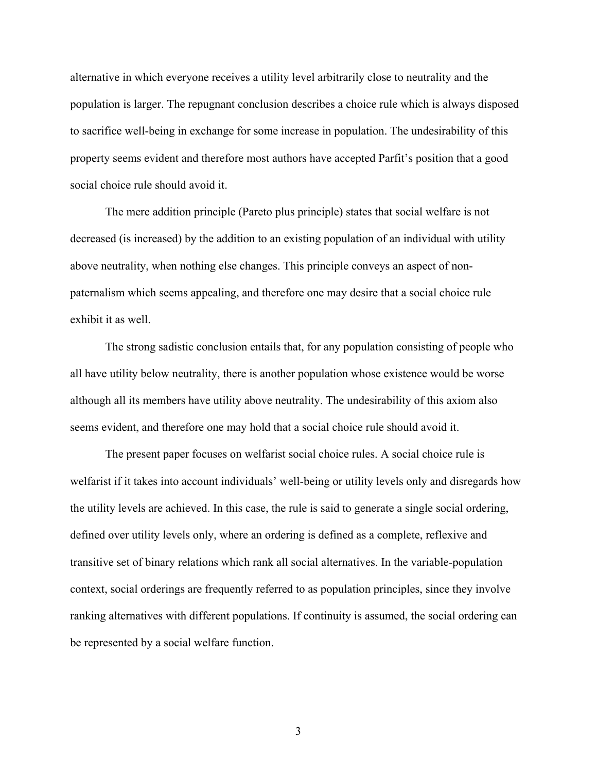alternative in which everyone receives a utility level arbitrarily close to neutrality and the population is larger. The repugnant conclusion describes a choice rule which is always disposed to sacrifice well-being in exchange for some increase in population. The undesirability of this property seems evident and therefore most authors have accepted Parfit's position that a good social choice rule should avoid it.

The mere addition principle (Pareto plus principle) states that social welfare is not decreased (is increased) by the addition to an existing population of an individual with utility above neutrality, when nothing else changes. This principle conveys an aspect of nonpaternalism which seems appealing, and therefore one may desire that a social choice rule exhibit it as well.

The strong sadistic conclusion entails that, for any population consisting of people who all have utility below neutrality, there is another population whose existence would be worse although all its members have utility above neutrality. The undesirability of this axiom also seems evident, and therefore one may hold that a social choice rule should avoid it.

The present paper focuses on welfarist social choice rules. A social choice rule is welfarist if it takes into account individuals' well-being or utility levels only and disregards how the utility levels are achieved. In this case, the rule is said to generate a single social ordering, defined over utility levels only, where an ordering is defined as a complete, reflexive and transitive set of binary relations which rank all social alternatives. In the variable-population context, social orderings are frequently referred to as population principles, since they involve ranking alternatives with different populations. If continuity is assumed, the social ordering can be represented by a social welfare function.

3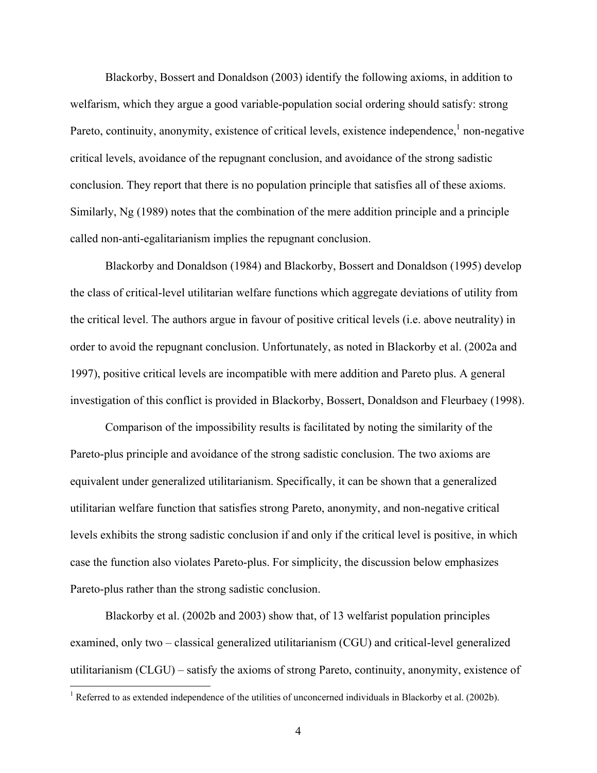Blackorby, Bossert and Donaldson (2003) identify the following axioms, in addition to welfarism, which they argue a good variable-population social ordering should satisfy: strong Pareto, continuity, anonymity, existence of critical levels, existence independence,  $\frac{1}{2}$  $\frac{1}{2}$  $\frac{1}{2}$  non-negative critical levels, avoidance of the repugnant conclusion, and avoidance of the strong sadistic conclusion. They report that there is no population principle that satisfies all of these axioms. Similarly, Ng (1989) notes that the combination of the mere addition principle and a principle called non-anti-egalitarianism implies the repugnant conclusion.

Blackorby and Donaldson (1984) and Blackorby, Bossert and Donaldson (1995) develop the class of critical-level utilitarian welfare functions which aggregate deviations of utility from the critical level. The authors argue in favour of positive critical levels (i.e. above neutrality) in order to avoid the repugnant conclusion. Unfortunately, as noted in Blackorby et al. (2002a and 1997), positive critical levels are incompatible with mere addition and Pareto plus. A general investigation of this conflict is provided in Blackorby, Bossert, Donaldson and Fleurbaey (1998).

Comparison of the impossibility results is facilitated by noting the similarity of the Pareto-plus principle and avoidance of the strong sadistic conclusion. The two axioms are equivalent under generalized utilitarianism. Specifically, it can be shown that a generalized utilitarian welfare function that satisfies strong Pareto, anonymity, and non-negative critical levels exhibits the strong sadistic conclusion if and only if the critical level is positive, in which case the function also violates Pareto-plus. For simplicity, the discussion below emphasizes Pareto-plus rather than the strong sadistic conclusion.

Blackorby et al. (2002b and 2003) show that, of 13 welfarist population principles examined, only two – classical generalized utilitarianism (CGU) and critical-level generalized utilitarianism (CLGU) – satisfy the axioms of strong Pareto, continuity, anonymity, existence of

 $\overline{a}$ 

<span id="page-5-0"></span><sup>&</sup>lt;sup>1</sup> Referred to as extended independence of the utilities of unconcerned individuals in Blackorby et al. (2002b).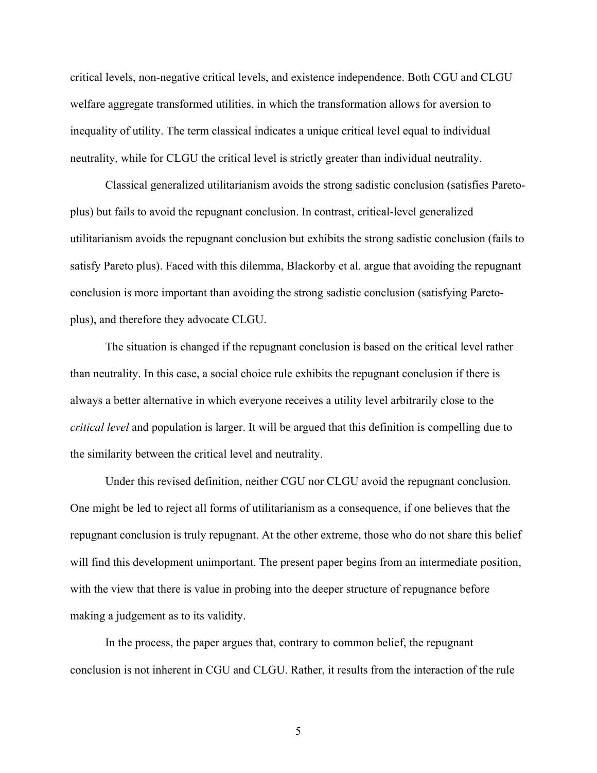critical levels, non-negative critical levels, and existence independence. Both CGU and CLGU welfare aggregate transformed utilities, in which the transformation allows for aversion to inequality of utility. The term classical indicates a unique critical level equal to individual neutrality, while for CLGU the critical level is strictly greater than individual neutrality.

Classical generalized utilitarianism avoids the strong sadistic conclusion (satisfies Paretoplus) but fails to avoid the repugnant conclusion. In contrast, critical-level generalized utilitarianism avoids the repugnant conclusion but exhibits the strong sadistic conclusion (fails to satisfy Pareto plus). Faced with this dilemma, Blackorby et al. argue that avoiding the repugnant conclusion is more important than avoiding the strong sadistic conclusion (satisfying Paretoplus), and therefore they advocate CLGU.

The situation is changed if the repugnant conclusion is based on the critical level rather than neutrality. In this case, a social choice rule exhibits the repugnant conclusion if there is always a better alternative in which everyone receives a utility level arbitrarily close to the *critical level* and population is larger. It will be argued that this definition is compelling due to the similarity between the critical level and neutrality.

Under this revised definition, neither CGU nor CLGU avoid the repugnant conclusion. One might be led to reject all forms of utilitarianism as a consequence, if one believes that the repugnant conclusion is truly repugnant. At the other extreme, those who do not share this belief will find this development unimportant. The present paper begins from an intermediate position, with the view that there is value in probing into the deeper structure of repugnance before making a judgement as to its validity.

In the process, the paper argues that, contrary to common belief, the repugnant conclusion is not inherent in CGU and CLGU. Rather, it results from the interaction of the rule

5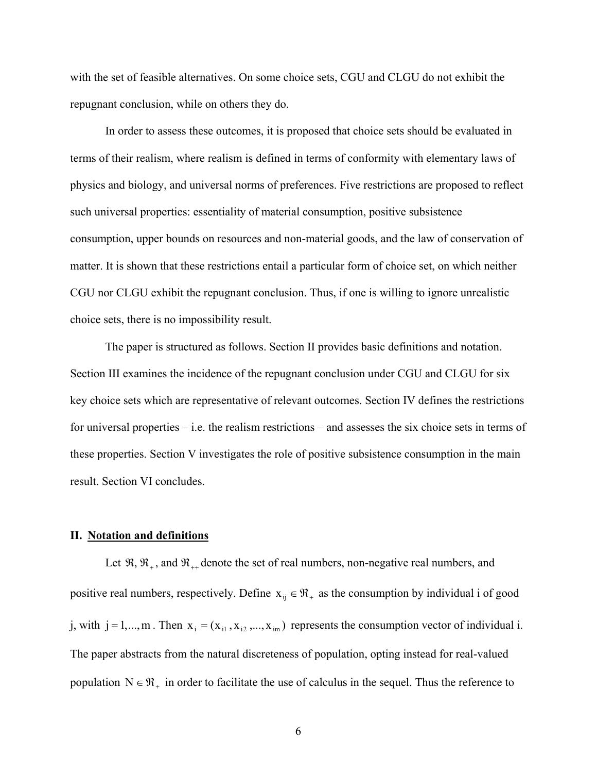with the set of feasible alternatives. On some choice sets, CGU and CLGU do not exhibit the repugnant conclusion, while on others they do.

In order to assess these outcomes, it is proposed that choice sets should be evaluated in terms of their realism, where realism is defined in terms of conformity with elementary laws of physics and biology, and universal norms of preferences. Five restrictions are proposed to reflect such universal properties: essentiality of material consumption, positive subsistence consumption, upper bounds on resources and non-material goods, and the law of conservation of matter. It is shown that these restrictions entail a particular form of choice set, on which neither CGU nor CLGU exhibit the repugnant conclusion. Thus, if one is willing to ignore unrealistic choice sets, there is no impossibility result.

The paper is structured as follows. Section II provides basic definitions and notation. Section III examines the incidence of the repugnant conclusion under CGU and CLGU for six key choice sets which are representative of relevant outcomes. Section IV defines the restrictions for universal properties – i.e. the realism restrictions – and assesses the six choice sets in terms of these properties. Section V investigates the role of positive subsistence consumption in the main result. Section VI concludes.

#### **II. Notation and definitions**

Let  $\mathfrak{R}, \mathfrak{R}_+$ , and  $\mathfrak{R}_{++}$  denote the set of real numbers, non-negative real numbers, and positive real numbers, respectively. Define  $x_{ij} \in \mathcal{R}_+$  as the consumption by individual i of good j, with  $j = 1,...,m$ . Then  $x_i = (x_{i1}, x_{i2},...,x_{im})$  represents the consumption vector of individual i. The paper abstracts from the natural discreteness of population, opting instead for real-valued population  $N \in \mathcal{R}_+$  in order to facilitate the use of calculus in the sequel. Thus the reference to

6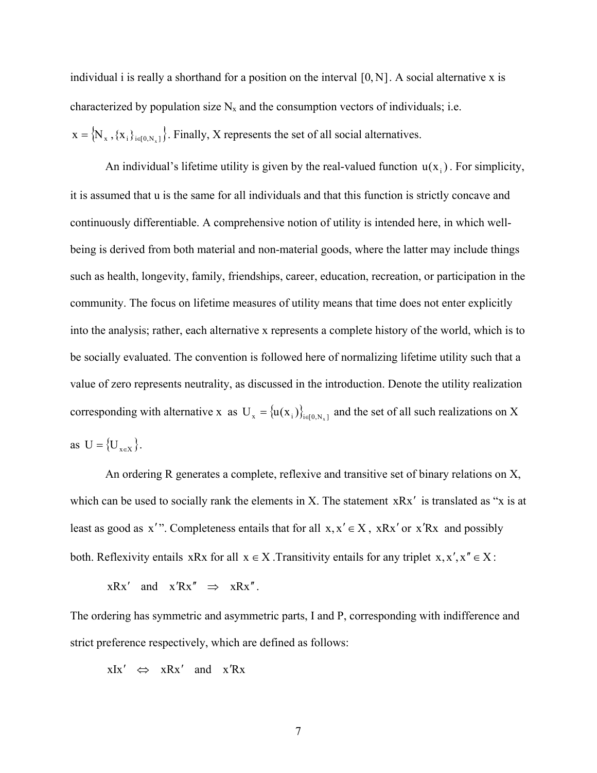individual i is really a shorthand for a position on the interval  $[0, N]$ . A social alternative x is characterized by population size  $N_x$  and the consumption vectors of individuals; i.e.  $x = \{N_x, \{x_i\}_{i \in [0,N_x]}\}\$ . Finally, X represents the set of all social alternatives.

as  $U = {U_{x \in X}}$ . An individual's lifetime utility is given by the real-valued function  $u(x_i)$ . For simplicity, it is assumed that u is the same for all individuals and that this function is strictly concave and continuously differentiable. A comprehensive notion of utility is intended here, in which wellbeing is derived from both material and non-material goods, where the latter may include things such as health, longevity, family, friendships, career, education, recreation, or participation in the community. The focus on lifetime measures of utility means that time does not enter explicitly into the analysis; rather, each alternative x represents a complete history of the world, which is to be socially evaluated. The convention is followed here of normalizing lifetime utility such that a value of zero represents neutrality, as discussed in the introduction. Denote the utility realization corresponding with alternative x as  $U_x = {u(x_i)}_{i \in [0, N_x]}$  and the set of all such realizations on X

least as good as x'". Completeness entails that for all  $x, x' \in X$ , xRx' or x'Rx and possibly An ordering R generates a complete, reflexive and transitive set of binary relations on X, which can be used to socially rank the elements in X. The statement  $xRx'$  is translated as "x is at both. Reflexivity entails xRx for all  $x \in X$ . Transitivity entails for any triplet  $x, x', x'' \in X$ :

 $xRx'$  and  $x'Rx'' \implies xRx''$ .

The ordering has symmetric and asymmetric parts, I and P, corresponding with indifference and strict preference respectively, which are defined as follows:

 $xIx' \Leftrightarrow xRx'$  and  $x'Rx$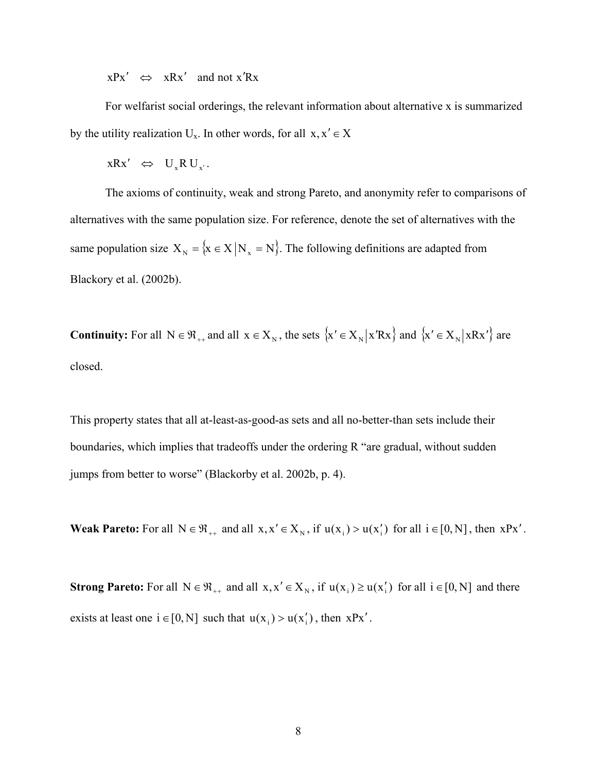$xPx' \Leftrightarrow xRx'$  and not  $x'Rx$ 

For welfarist social orderings, the relevant information about alternative x is summarized by the utility realization  $U_x$ . In other words, for all  $x, x' \in X$ 

 $xRx' \Leftrightarrow U_xRU_{x'}$ .

The axioms of continuity, weak and strong Pareto, and anonymity refer to comparisons of alternatives with the same population size. For reference, denote the set of alternatives with the same population size  $X_N = \{x \in X | N_x = N\}$ . The following definitions are adapted from Blackory et al. (2002b).

**Continuity:** For all  $N \in \mathcal{R}_{++}$  and all  $x \in X_N$ , the sets  $\{x' \in X_N | xRx\}$  and  $\{x' \in X_N | xRx'\}$  are closed.

This property states that all at-least-as-good-as sets and all no-better-than sets include their boundaries, which implies that tradeoffs under the ordering R "are gradual, without sudden jumps from better to worse" (Blackorby et al. 2002b, p. 4).

**Weak Pareto:** For all  $N \in \mathcal{R}_{++}$  and all  $x, x' \in X_N$ , if  $u(x_i) > u(x'_i)$  for all  $i \in [0, N]$ , then  $xPx'$ .

**Strong Pareto:** For all  $N \in \mathcal{R}_{++}$  and all  $x, x' \in X_N$ , if  $u(x_i) \ge u(x'_i)$  for all  $i \in [0, N]$  and there exists at least one  $i \in [0, N]$  such that  $u(x_i) > u(x'_i)$ , then  $xPx'$ .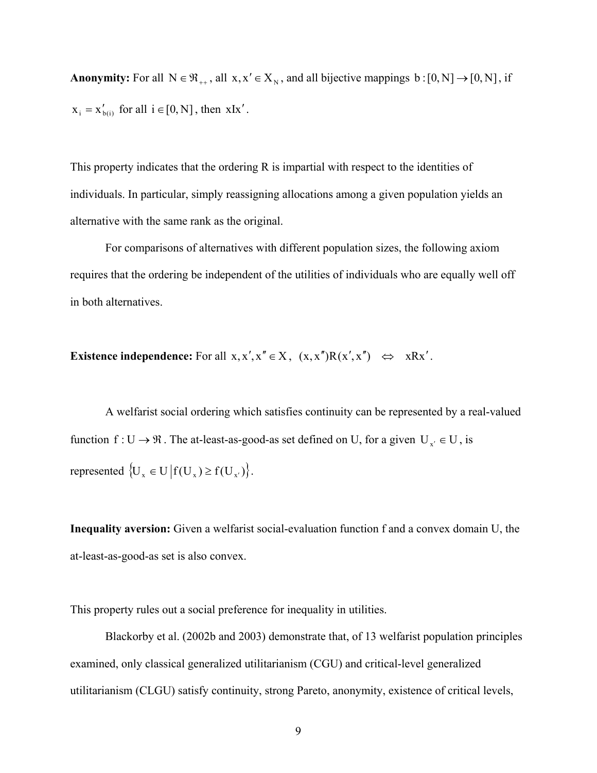**Anonymity:** For all  $N \in \mathcal{R}_{++}$ , all  $x, x' \in X_N$ , and all bijective mappings  $b : [0, N] \rightarrow [0, N]$ , if  $x_i = x'_{b(i)}$  for all  $i \in [0, N]$ , then xIx'.

This property indicates that the ordering R is impartial with respect to the identities of individuals. In particular, simply reassigning allocations among a given population yields an alternative with the same rank as the original.

For comparisons of alternatives with different population sizes, the following axiom requires that the ordering be independent of the utilities of individuals who are equally well off in both alternatives.

**Existence independence:** For all  $x, x', x'' \in X$ ,  $(x, x'')R(x', x'') \Leftrightarrow xRx'$ .

A welfarist social ordering which satisfies continuity can be represented by a real-valued function  $f: U \to \mathfrak{R}$ . The at-least-as-good-as set defined on U, for a given  $U_{x'} \in U$ , is represented  $\{U_x \in U | f(U_x) \ge f(U_{x'}) \}$ .

**Inequality aversion:** Given a welfarist social-evaluation function f and a convex domain U, the at-least-as-good-as set is also convex.

This property rules out a social preference for inequality in utilities.

Blackorby et al. (2002b and 2003) demonstrate that, of 13 welfarist population principles examined, only classical generalized utilitarianism (CGU) and critical-level generalized utilitarianism (CLGU) satisfy continuity, strong Pareto, anonymity, existence of critical levels,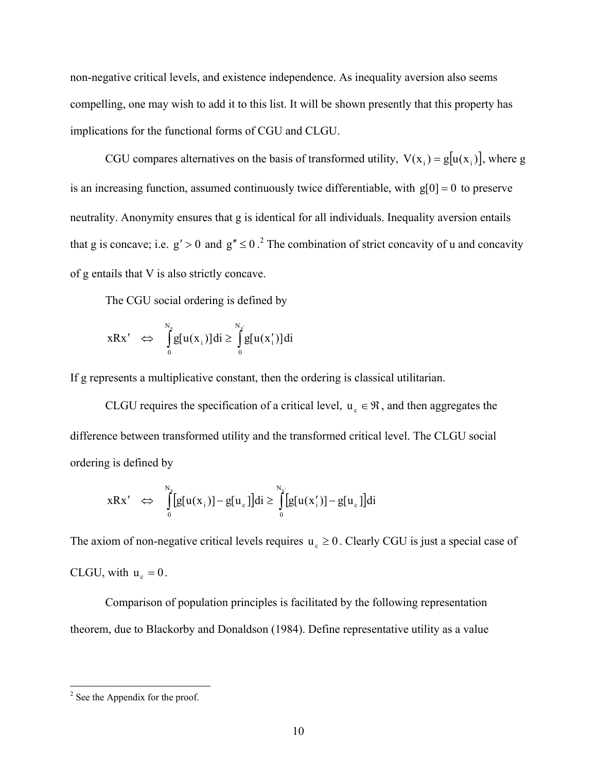non-negative critical levels, and existence independence. As inequality aversion also seems compelling, one may wish to add it to this list. It will be shown presently that this property has implications for the functional forms of CGU and CLGU.

CGU compares alternatives on the basis of transformed utility,  $V(x_i) = g[u(x_i)]$ , where g is an increasing function, assumed continuously twice differentiable, with  $g[0] = 0$  to preserve neutrality. Anonymity ensures that g is identical for all individuals. Inequality aversion entails that g is concave; i.e.  $g' > 0$  and  $g'' \le 0$ .<sup>[2](#page-11-0)</sup> The combination of strict concavity of u and concavity of g entails that V is also strictly concave.

The CGU social ordering is defined by

$$
xRx' \Leftrightarrow \int_{0}^{N_x} g[u(x_i)]di \ge \int_{0}^{N_{x'}} g[u(x_i')]di
$$

If g represents a multiplicative constant, then the ordering is classical utilitarian.

CLGU requires the specification of a critical level,  $u_c \in \mathcal{R}$ , and then aggregates the difference between transformed utility and the transformed critical level. The CLGU social ordering is defined by

$$
xRx' \Leftrightarrow \int_{0}^{N_x} [g[u(x_i)] - g[u_c]]di \ge \int_{0}^{N_{x'}} [g[u(x_i')] - g[u_c]]di
$$

The axiom of non-negative critical levels requires  $u_c \ge 0$ . Clearly CGU is just a special case of CLGU, with  $u_c = 0$ .

Comparison of population principles is facilitated by the following representation theorem, due to Blackorby and Donaldson (1984). Define representative utility as a value

<span id="page-11-0"></span> $\frac{1}{2}$  $2$  See the Appendix for the proof.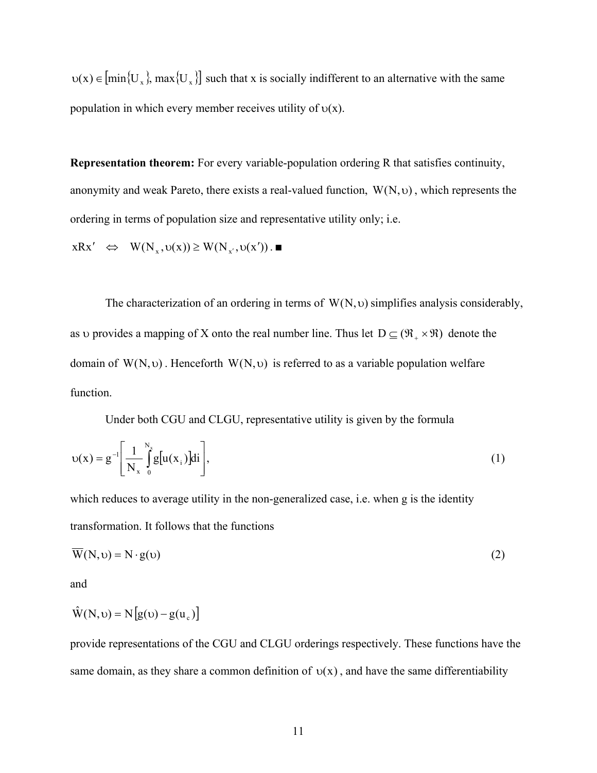$u(x) \in [min{U_x}]$ , max ${U_x}]$  such that x is socially indifferent to an alternative with the same population in which every member receives utility of  $v(x)$ .

**Representation theorem:** For every variable-population ordering R that satisfies continuity, anonymity and weak Pareto, there exists a real-valued function,  $W(N, v)$ , which represents the ordering in terms of population size and representative utility only; i.e.

$$
xRx' \Leftrightarrow W(N_x, \upsilon(x)) \ge W(N_{x'}, \upsilon(x')). \blacksquare
$$

The characterization of an ordering in terms of  $W(N, v)$  simplifies analysis considerably, as v provides a mapping of X onto the real number line. Thus let  $D \subseteq (\mathfrak{R}_+ \times \mathfrak{R})$  denote the domain of  $W(N, v)$ . Henceforth  $W(N, v)$  is referred to as a variable population welfare function.

Under both CGU and CLGU, representative utility is given by the formula

$$
v(x) = g^{-1} \left[ \frac{1}{N_x} \int_{0}^{N_x} g[u(x_i)]di \right],
$$
 (1)

which reduces to average utility in the non-generalized case, i.e. when g is the identity transformation. It follows that the functions

$$
\overline{W}(N, \upsilon) = N \cdot g(\upsilon) \tag{2}
$$

and

$$
\hat{W}(N, \upsilon) = N[g(\upsilon) - g(u_{\varsigma})]
$$

provide representations of the CGU and CLGU orderings respectively. These functions have the same domain, as they share a common definition of  $v(x)$ , and have the same differentiability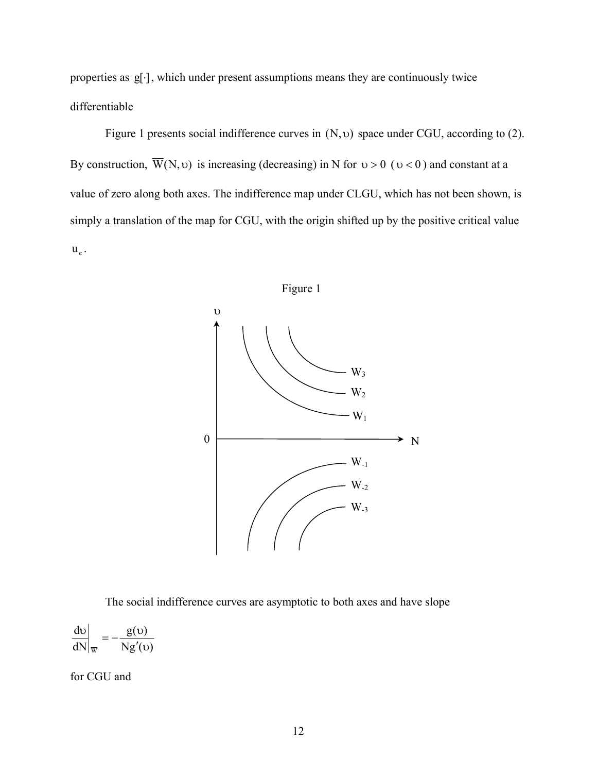properties as  $g[\cdot]$ , which under present assumptions means they are continuously twice differentiable

Figure 1 presents social indifference curves in (N,υ) space under CGU, according to (2). By construction,  $\overline{W}(N, \nu)$  is increasing (decreasing) in N for  $\nu > 0$  ( $\nu < 0$ ) and constant at a value of zero along both axes. The indifference map under CLGU, which has not been shown, is simply a translation of the map for CGU, with the origin shifted up by the positive critical value  $u_c$ .



The social indifference curves are asymptotic to both axes and have slope

 $g'(v)$  $\left( v\right)$  $\prime\sigma$ υ N g dN d W  $\left| \frac{v}{v} \right| = -$ 

for CGU and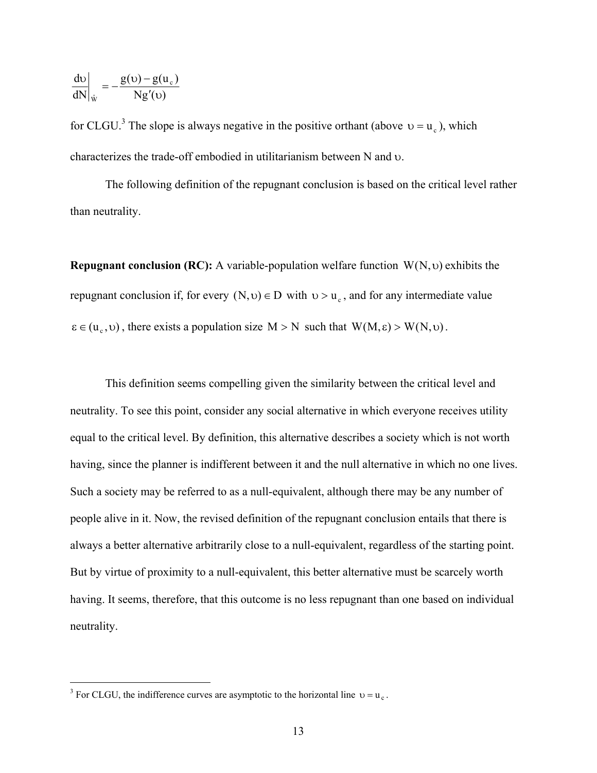$$
\left. \frac{\mathrm{d}\mathrm{v}}{\mathrm{dN}} \right|_{\hat{\mathrm{W}}} = -\frac{\mathrm{g}(\mathrm{v}) - \mathrm{g}(\mathrm{u}_{\mathrm{c}})}{\mathrm{N}\mathrm{g}'(\mathrm{v})}
$$

for CLGU.<sup>[3](#page-14-0)</sup> The slope is always negative in the positive orthant (above  $v = u_c$ ), which characterizes the trade-off embodied in utilitarianism between N and υ.

The following definition of the repugnant conclusion is based on the critical level rather than neutrality.

**Repugnant conclusion (RC):** A variable-population welfare function  $W(N, \upsilon)$  exhibits the repugnant conclusion if, for every  $(N, v) \in D$  with  $v > u_c$ , and for any intermediate value  $\epsilon \in (u_c, v)$ , there exists a population size  $M > N$  such that  $W(M, \epsilon) > W(N, v)$ .

This definition seems compelling given the similarity between the critical level and neutrality. To see this point, consider any social alternative in which everyone receives utility equal to the critical level. By definition, this alternative describes a society which is not worth having, since the planner is indifferent between it and the null alternative in which no one lives. Such a society may be referred to as a null-equivalent, although there may be any number of people alive in it. Now, the revised definition of the repugnant conclusion entails that there is always a better alternative arbitrarily close to a null-equivalent, regardless of the starting point. But by virtue of proximity to a null-equivalent, this better alternative must be scarcely worth having. It seems, therefore, that this outcome is no less repugnant than one based on individual neutrality.

<span id="page-14-0"></span><sup>&</sup>lt;sup>3</sup> For CLGU, the indifference curves are asymptotic to the horizontal line  $v = u_c$ .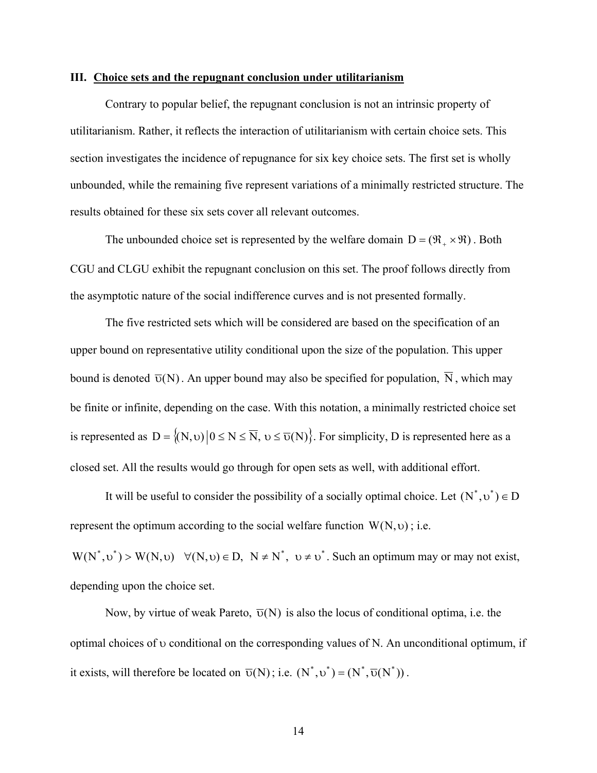#### **III. Choice sets and the repugnant conclusion under utilitarianism**

Contrary to popular belief, the repugnant conclusion is not an intrinsic property of utilitarianism. Rather, it reflects the interaction of utilitarianism with certain choice sets. This section investigates the incidence of repugnance for six key choice sets. The first set is wholly unbounded, while the remaining five represent variations of a minimally restricted structure. The results obtained for these six sets cover all relevant outcomes.

The unbounded choice set is represented by the welfare domain  $D = (\Re_+ \times \Re)$ . Both CGU and CLGU exhibit the repugnant conclusion on this set. The proof follows directly from the asymptotic nature of the social indifference curves and is not presented formally.

The five restricted sets which will be considered are based on the specification of an upper bound on representative utility conditional upon the size of the population. This upper bound is denoted  $\overline{\nu}(N)$ . An upper bound may also be specified for population,  $\overline{N}$ , which may be finite or infinite, depending on the case. With this notation, a minimally restricted choice set is represented as  $D = \{(N, v) | 0 \le N \le \overline{N}, v \le \overline{v}(N)\}\)$ . For simplicity, D is represented here as a closed set. All the results would go through for open sets as well, with additional effort.

It will be useful to consider the possibility of a socially optimal choice. Let  $(N^*, v^*) \in D$ represent the optimum according to the social welfare function  $W(N, v)$ ; i.e.

 $W(N^*, v^*) > W(N, v)$   $\forall (N, v) \in D$ ,  $N \neq N^*$ ,  $v \neq v^*$ . Such an optimum may or may not exist, depending upon the choice set.

Now, by virtue of weak Pareto,  $\overline{\nu}(N)$  is also the locus of conditional optima, i.e. the optimal choices of υ conditional on the corresponding values of N. An unconditional optimum, if it exists, will therefore be located on  $\overline{\nu}(N)$ ; i.e.  $(N^*, v^*) = (N^*, \overline{\nu}(N^*))$ .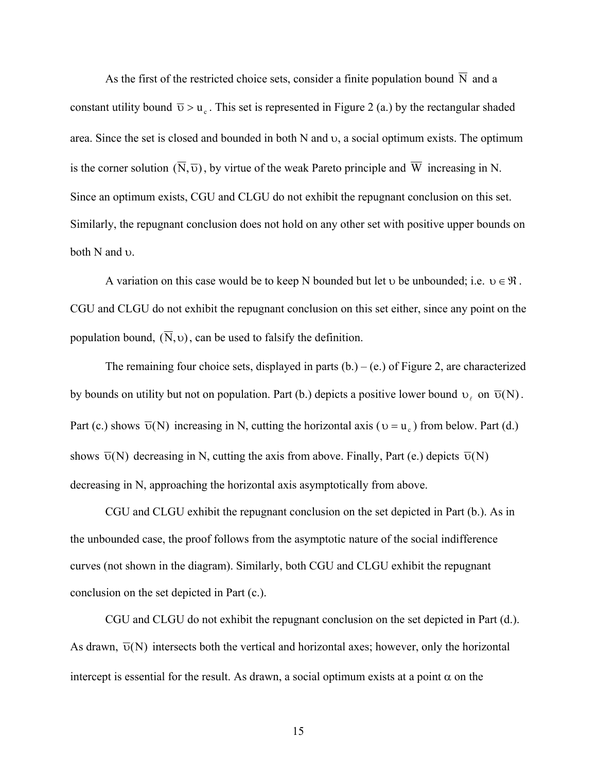As the first of the restricted choice sets, consider a finite population bound  $\overline{N}$  and a constant utility bound  $\overline{v} > u_c$ . This set is represented in Figure 2 (a.) by the rectangular shaded area. Since the set is closed and bounded in both N and υ, a social optimum exists. The optimum is the corner solution  $(\overline{N}, \overline{v})$ , by virtue of the weak Pareto principle and  $\overline{W}$  increasing in N. Since an optimum exists, CGU and CLGU do not exhibit the repugnant conclusion on this set. Similarly, the repugnant conclusion does not hold on any other set with positive upper bounds on both N and υ.

A variation on this case would be to keep N bounded but let  $\upsilon$  be unbounded; i.e.  $\upsilon \in \mathfrak{R}$ . CGU and CLGU do not exhibit the repugnant conclusion on this set either, since any point on the population bound,  $(\overline{N}, v)$ , can be used to falsify the definition.

The remaining four choice sets, displayed in parts  $(b.) - (e.)$  of Figure 2, are characterized by bounds on utility but not on population. Part (b.) depicts a positive lower bound  $v_{\ell}$  on  $\overline{v}(N)$ . Part (c.) shows  $\overline{\upsilon}(N)$  increasing in N, cutting the horizontal axis ( $\upsilon = u_c$ ) from below. Part (d.) shows  $\overline{\nu}(N)$  decreasing in N, cutting the axis from above. Finally, Part (e.) depicts  $\overline{\nu}(N)$ decreasing in N, approaching the horizontal axis asymptotically from above.

CGU and CLGU exhibit the repugnant conclusion on the set depicted in Part (b.). As in the unbounded case, the proof follows from the asymptotic nature of the social indifference curves (not shown in the diagram). Similarly, both CGU and CLGU exhibit the repugnant conclusion on the set depicted in Part (c.).

CGU and CLGU do not exhibit the repugnant conclusion on the set depicted in Part (d.). As drawn,  $\overline{v}(N)$  intersects both the vertical and horizontal axes; however, only the horizontal intercept is essential for the result. As drawn, a social optimum exists at a point  $\alpha$  on the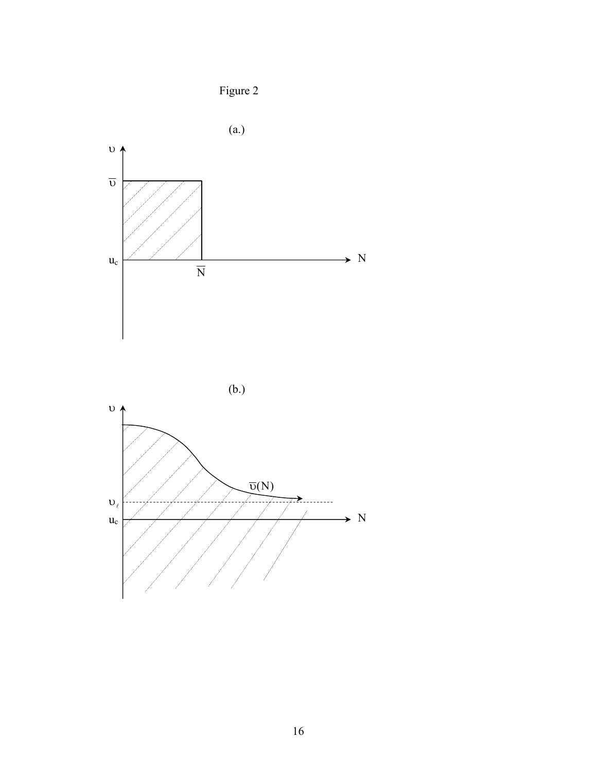





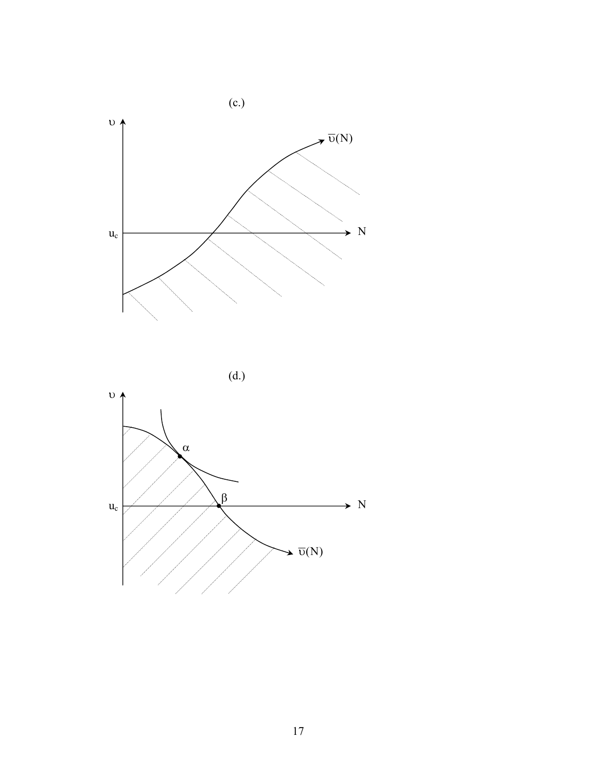

(d.)

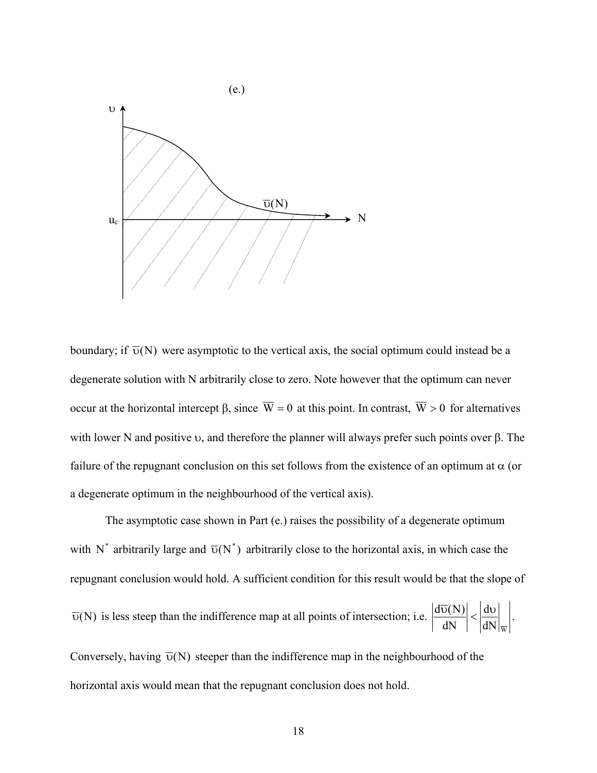

boundary; if  $\overline{\nu}(N)$  were asymptotic to the vertical axis, the social optimum could instead be a degenerate solution with N arbitrarily close to zero. Note however that the optimum can never occur at the horizontal intercept β, since  $\overline{W} = 0$  at this point. In contrast,  $\overline{W} > 0$  for alternatives with lower N and positive υ, and therefore the planner will always prefer such points over β. The failure of the repugnant conclusion on this set follows from the existence of an optimum at  $\alpha$  (or a degenerate optimum in the neighbourhood of the vertical axis).

The asymptotic case shown in Part (e.) raises the possibility of a degenerate optimum with N<sup>\*</sup> arbitrarily large and  $\overline{\upsilon}(N^*)$  arbitrarily close to the horizontal axis, in which case the repugnant conclusion would hold. A sufficient condition for this result would be that the slope of  $\overline{v}(N)$  is less steep than the indifference map at all points of intersection; i.e.  $dN|_{\overline{w}}$ d dN  $\left| \frac{d\overline{\upsilon}(N)}{dx} \right| < \left| \frac{d\upsilon}{dx} \right|$ . Conversely, having  $\overline{v}(N)$  steeper than the indifference map in the neighbourhood of the

horizontal axis would mean that the repugnant conclusion does not hold.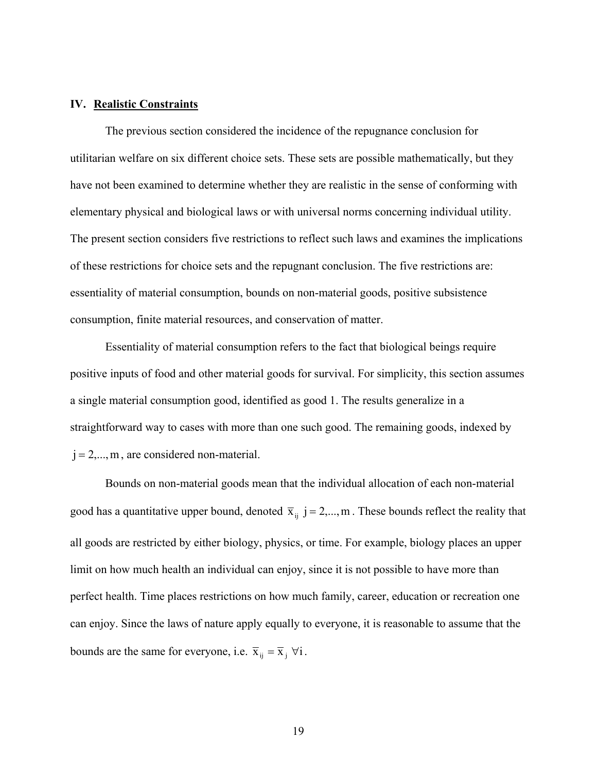## **IV. Realistic Constraints**

The previous section considered the incidence of the repugnance conclusion for utilitarian welfare on six different choice sets. These sets are possible mathematically, but they have not been examined to determine whether they are realistic in the sense of conforming with elementary physical and biological laws or with universal norms concerning individual utility. The present section considers five restrictions to reflect such laws and examines the implications of these restrictions for choice sets and the repugnant conclusion. The five restrictions are: essentiality of material consumption, bounds on non-material goods, positive subsistence consumption, finite material resources, and conservation of matter.

Essentiality of material consumption refers to the fact that biological beings require positive inputs of food and other material goods for survival. For simplicity, this section assumes a single material consumption good, identified as good 1. The results generalize in a straightforward way to cases with more than one such good. The remaining goods, indexed by  $j = 2,...,m$ , are considered non-material.

Bounds on non-material goods mean that the individual allocation of each non-material good has a quantitative upper bound, denoted  $\bar{x}_{ij}$  j = 2,..., m. These bounds reflect the reality that all goods are restricted by either biology, physics, or time. For example, biology places an upper limit on how much health an individual can enjoy, since it is not possible to have more than perfect health. Time places restrictions on how much family, career, education or recreation one can enjoy. Since the laws of nature apply equally to everyone, it is reasonable to assume that the bounds are the same for everyone, i.e.  $\bar{x}_{ij} = \bar{x}_j \ \forall i$ .

19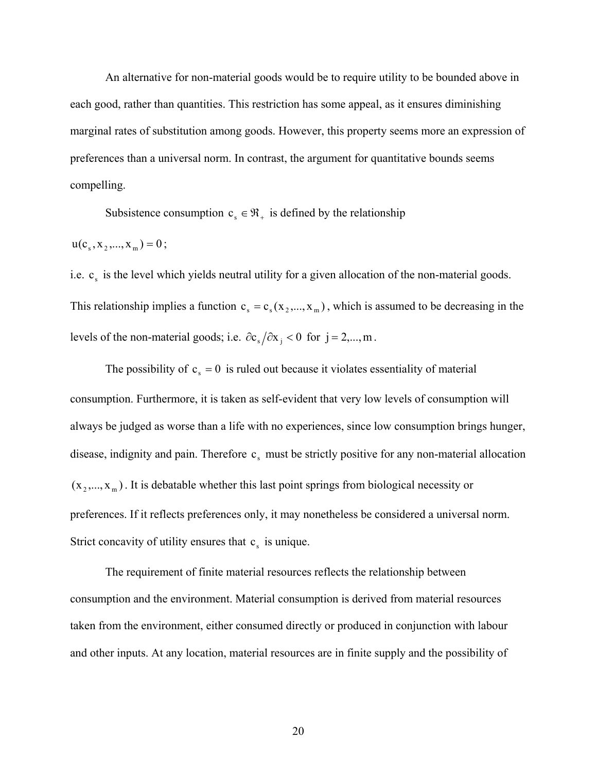An alternative for non-material goods would be to require utility to be bounded above in each good, rather than quantities. This restriction has some appeal, as it ensures diminishing marginal rates of substitution among goods. However, this property seems more an expression of preferences than a universal norm. In contrast, the argument for quantitative bounds seems compelling.

Subsistence consumption  $c_s \in \mathfrak{R}_+$  is defined by the relationship

$$
u(cs, x2,..., xm) = 0;
$$

i.e.  $c_s$  is the level which yields neutral utility for a given allocation of the non-material goods. This relationship implies a function  $c_s = c_s(x_2,...,x_m)$ , which is assumed to be decreasing in the levels of the non-material goods; i.e.  $\partial c_s / \partial x_i < 0$  for j = 2,..., m.

The possibility of  $c_s = 0$  is ruled out because it violates essentiality of material consumption. Furthermore, it is taken as self-evident that very low levels of consumption will always be judged as worse than a life with no experiences, since low consumption brings hunger, disease, indignity and pain. Therefore  $c_s$  must be strictly positive for any non-material allocation  $(x_2,...,x_m)$ . It is debatable whether this last point springs from biological necessity or preferences. If it reflects preferences only, it may nonetheless be considered a universal norm. Strict concavity of utility ensures that  $c_s$  is unique.

The requirement of finite material resources reflects the relationship between consumption and the environment. Material consumption is derived from material resources taken from the environment, either consumed directly or produced in conjunction with labour and other inputs. At any location, material resources are in finite supply and the possibility of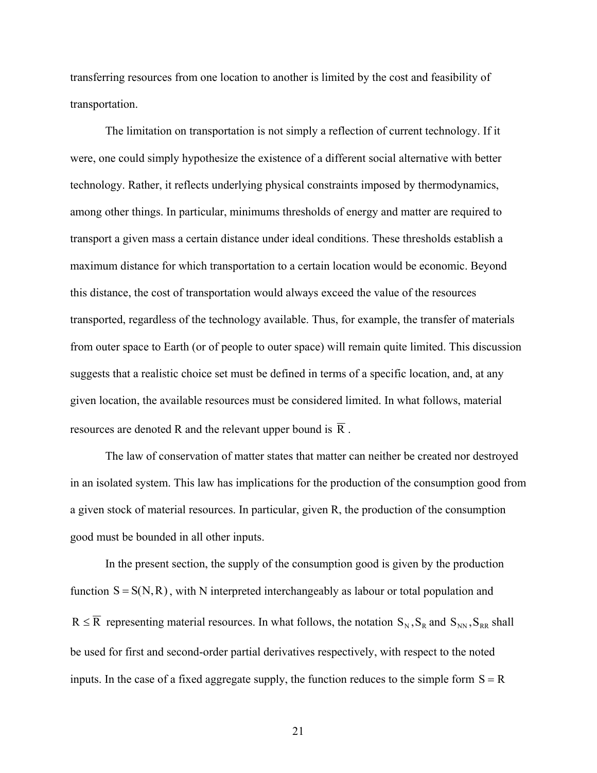transferring resources from one location to another is limited by the cost and feasibility of transportation.

The limitation on transportation is not simply a reflection of current technology. If it were, one could simply hypothesize the existence of a different social alternative with better technology. Rather, it reflects underlying physical constraints imposed by thermodynamics, among other things. In particular, minimums thresholds of energy and matter are required to transport a given mass a certain distance under ideal conditions. These thresholds establish a maximum distance for which transportation to a certain location would be economic. Beyond this distance, the cost of transportation would always exceed the value of the resources transported, regardless of the technology available. Thus, for example, the transfer of materials from outer space to Earth (or of people to outer space) will remain quite limited. This discussion suggests that a realistic choice set must be defined in terms of a specific location, and, at any given location, the available resources must be considered limited. In what follows, material resources are denoted R and the relevant upper bound is  $\overline{R}$ .

The law of conservation of matter states that matter can neither be created nor destroyed in an isolated system. This law has implications for the production of the consumption good from a given stock of material resources. In particular, given R, the production of the consumption good must be bounded in all other inputs.

In the present section, the supply of the consumption good is given by the production function  $S = S(N, R)$ , with N interpreted interchangeably as labour or total population and  $R \le R$  representing material resources. In what follows, the notation  $S_N$ ,  $S_R$  and  $S_{NN}$ ,  $S_{RR}$  shall be used for first and second-order partial derivatives respectively, with respect to the noted inputs. In the case of a fixed aggregate supply, the function reduces to the simple form  $S = R$ 

21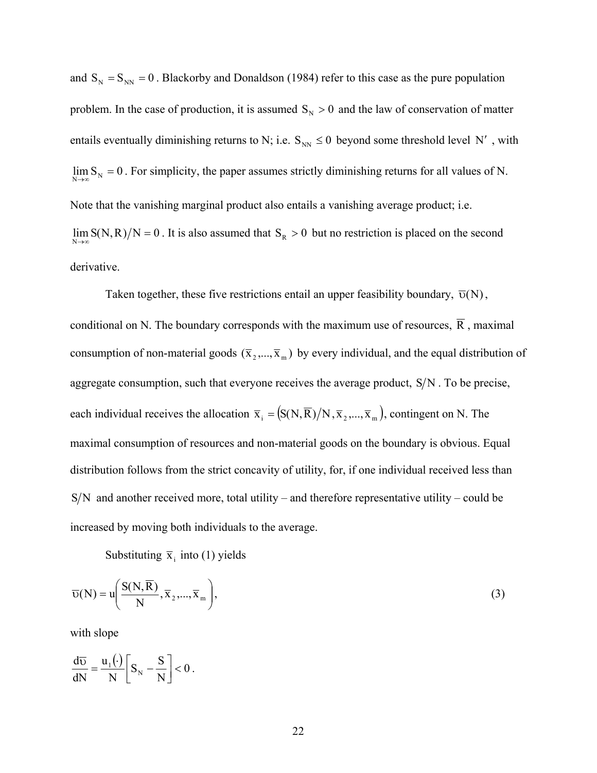and  $S_N = S_{NN} = 0$ . Blackorby and Donaldson (1984) refer to this case as the pure population problem. In the case of production, it is assumed  $S_N > 0$  and the law of conservation of matter entails eventually diminishing returns to N; i.e.  $S_{NN} \le 0$  beyond some threshold level N', with  $\lim_{N\to\infty} S_N = 0$ . For simplicity, the paper assumes strictly diminishing returns for all values of N. Note that the vanishing marginal product also entails a vanishing average product; i.e.  $\lim_{N\to\infty} S(N,R)/N = 0$ . It is also assumed that  $S_R > 0$  but no restriction is placed on the second derivative.

Taken together, these five restrictions entail an upper feasibility boundary,  $\overline{\upsilon}(N)$ , each individual receives the allocation  $\bar{x}_i = (S(N, \bar{R})/N, \bar{x}_2, ..., \bar{x}_m)$ , contingent on N. The  $S/N$  and another received more, total utility – and therefore representative utility – could be conditional on N. The boundary corresponds with the maximum use of resources,  $\overline{R}$ , maximal consumption of non-material goods  $(\overline{x}_2,...,\overline{x}_m)$  by every individual, and the equal distribution of aggregate consumption, such that everyone receives the average product,  $S/N$ . To be precise, maximal consumption of resources and non-material goods on the boundary is obvious. Equal distribution follows from the strict concavity of utility, for, if one individual received less than increased by moving both individuals to the average.

Substituting  $\bar{x}_i$  into (1) yields

$$
\overline{\upsilon}(N) = u\left(\frac{S(N,\overline{R})}{N}, \overline{x}_2, ..., \overline{x}_m\right),\tag{3}
$$

with slope

$$
\frac{d\overline{v}}{dN} = \frac{u_1(\cdot)}{N} \bigg[ S_N - \frac{S}{N} \bigg] < 0 \ .
$$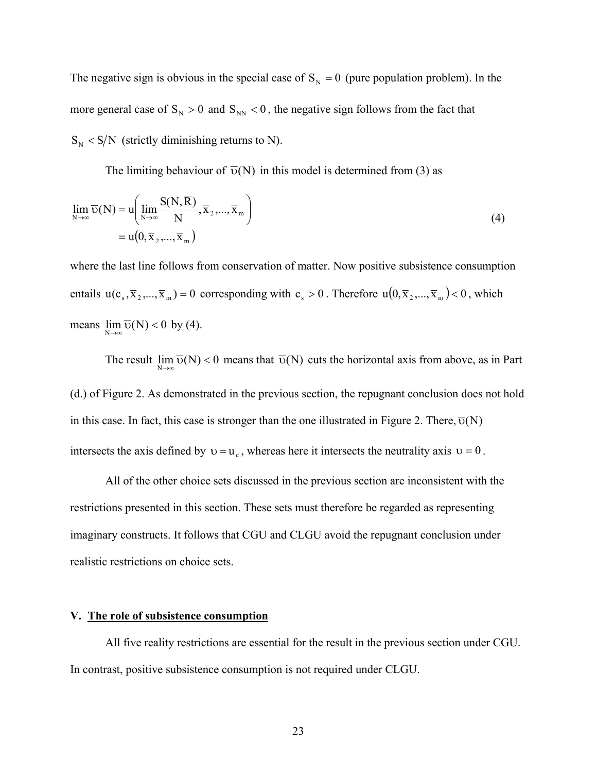The negative sign is obvious in the special case of  $S_N = 0$  (pure population problem). In the more general case of  $S_N > 0$  and  $S_{NN} < 0$ , the negative sign follows from the fact that  $S_N < S/N$  (strictly diminishing returns to N).

The limiting behaviour of  $\overline{v}(N)$  in this model is determined from (3) as

$$
\lim_{N \to \infty} \overline{\upsilon}(N) = u \left( \lim_{N \to \infty} \frac{S(N, \overline{R})}{N}, \overline{x}_2, ..., \overline{x}_m \right)
$$
  
=  $u(0, \overline{x}_2, ..., \overline{x}_m)$  (4)

where the last line follows from conservation of matter. Now positive subsistence consumption entails  $u(c_s, \overline{x}_2, ..., \overline{x}_m) = 0$  corresponding with  $c_s > 0$ . Therefore  $u(0, \overline{x}_2, ..., \overline{x}_m) < 0$ , which means  $\lim_{N \to \infty} \overline{\upsilon}(N) < 0$  by (4).

The result  $\lim_{N\to\infty} \overline{\nu}(N) < 0$  means that  $\overline{\nu}(N)$  cuts the horizontal axis from above, as in Part (d.) of Figure 2. As demonstrated in the previous section, the repugnant conclusion does not hold in this case. In fact, this case is stronger than the one illustrated in Figure 2. There,  $\overline{\nu}(N)$ intersects the axis defined by  $v = u_c$ , whereas here it intersects the neutrality axis  $v = 0$ .

All of the other choice sets discussed in the previous section are inconsistent with the restrictions presented in this section. These sets must therefore be regarded as representing imaginary constructs. It follows that CGU and CLGU avoid the repugnant conclusion under realistic restrictions on choice sets.

#### **V. The role of subsistence consumption**

All five reality restrictions are essential for the result in the previous section under CGU. In contrast, positive subsistence consumption is not required under CLGU.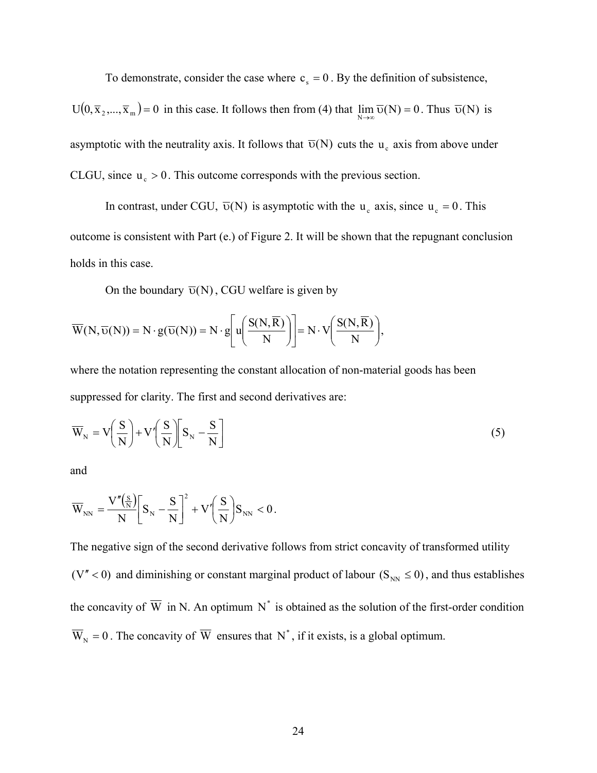To demonstrate, consider the case where  $c_s = 0$ . By the definition of subsistence,

 $U(0, \bar{x}_2,..., \bar{x}_m) = 0$  in this case. It follows then from (4) that  $\lim_{N \to \infty} \bar{v}(N) = 0$ . Thus  $\bar{v}(N)$  is asymptotic with the neutrality axis. It follows that  $\overline{\upsilon}(N)$  cuts the  $u_c$  axis from above under CLGU, since  $u_c > 0$ . This outcome corresponds with the previous section.

In contrast, under CGU,  $\overline{\upsilon}(N)$  is asymptotic with the  $u_c$  axis, since  $u_c = 0$ . This outcome is consistent with Part (e.) of Figure 2. It will be shown that the repugnant conclusion holds in this case.

On the boundary  $\overline{v}(N)$ , CGU welfare is given by

$$
\overline{W}(N,\overline{\upsilon}(N)) = N \cdot g(\overline{\upsilon}(N)) = N \cdot g\left[ u\left(\frac{S(N,\overline{R})}{N}\right) \right] = N \cdot V\left(\frac{S(N,\overline{R})}{N}\right),
$$

where the notation representing the constant allocation of non-material goods has been suppressed for clarity. The first and second derivatives are:

$$
\overline{W}_{N} = V \left( \frac{S}{N} \right) + V' \left( \frac{S}{N} \right) \left[ S_{N} - \frac{S}{N} \right]
$$
\n(5)

and

$$
\overline{W}_{\rm NN} = \!\frac{V''\!\! \left(\frac{S}{N}\right)}{N}\!\! \left[S_{\rm N}-\!\frac{S}{N}\right]^{\!2}+V'\!\! \left(\frac{S}{N}\right)\!\! S_{\rm NN}<0\,.
$$

The negative sign of the second derivative follows from strict concavity of transformed utility (V'' < 0) and diminishing or constant marginal product of labour ( $S_{NN} \le 0$ ), and thus establishes the concavity of  $\overline{W}$  in N. An optimum N<sup>\*</sup> is obtained as the solution of the first-order condition  $\overline{W}_N = 0$ . The concavity of  $\overline{W}$  ensures that N<sup>\*</sup>, if it exists, is a global optimum.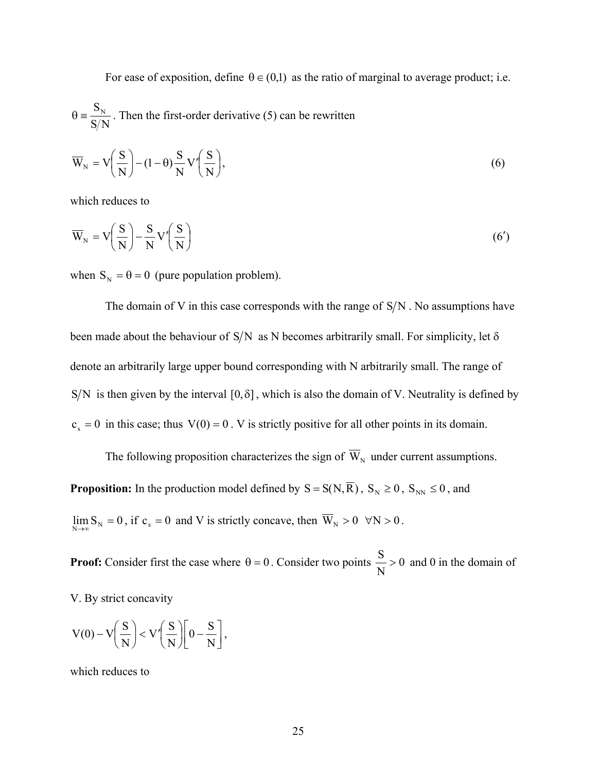For ease of exposition, define  $\theta \in (0,1)$  as the ratio of marginal to average product; i.e.  $\mathrm{S/N}$  $\theta = \frac{S_N}{S_N}$ . Then the first-order derivative (5) can be rewritten

$$
\overline{W}_N = V\left(\frac{S}{N}\right) - (1 - \theta) \frac{S}{N} V'\left(\frac{S}{N}\right),\tag{6}
$$

which reduces to

$$
\overline{W}_{N} = V \left( \frac{S}{N} \right) - \frac{S}{N} V' \left( \frac{S}{N} \right)
$$
\n(6')

when  $S_N = \theta = 0$  (pure population problem).

The domain of V in this case corresponds with the range of  $S/N$ . No assumptions have been made about the behaviour of S/N as N becomes arbitrarily small. For simplicity, let  $\delta$ denote an arbitrarily large upper bound corresponding with N arbitrarily small. The range of S/N is then given by the interval [0, $\delta$ ], which is also the domain of V. Neutrality is defined by  $c_s = 0$  in this case; thus  $V(0) = 0$ . V is strictly positive for all other points in its domain.

The following proposition characterizes the sign of  $\overline{W}_N$  under current assumptions. **Proposition:** In the production model defined by  $S = S(N, \overline{R})$ ,  $S_N \ge 0$ ,  $S_{NN} \le 0$ , and  $\lim_{N \to \infty} S_N = 0$ , if  $c_s = 0$  and V is strictly concave, then  $\overline{W}_N > 0 \forall N > 0$ .

**Proof:** Consider first the case where  $\theta = 0$ . Consider two points  $\frac{0}{\sqrt{2}} > 0$ N  $\frac{S}{S} > 0$  and 0 in the domain of

V. By strict concavity

$$
V(0) - V\left(\frac{S}{N}\right) < V'\left(\frac{S}{N}\right)\left[0 - \frac{S}{N}\right],
$$

which reduces to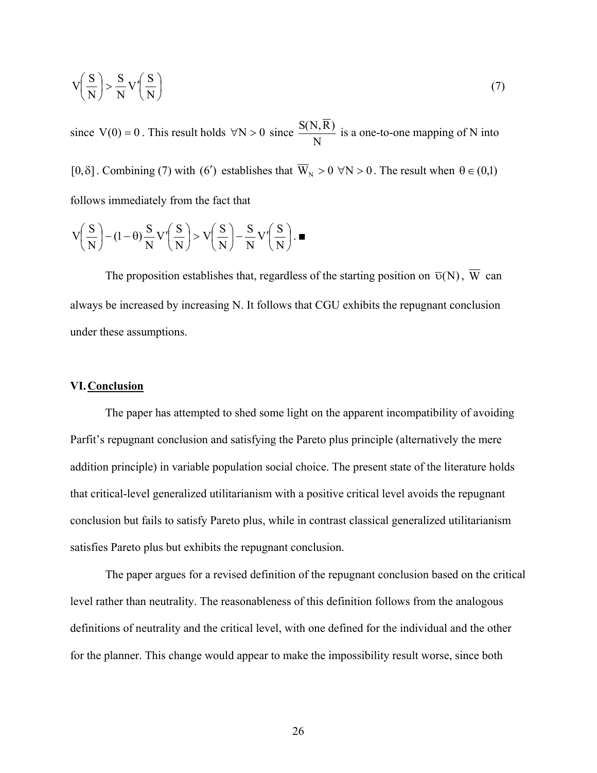$$
V\left(\frac{S}{N}\right) > \frac{S}{N}V'\left(\frac{S}{N}\right)
$$
\n(7)

since  $V(0) = 0$ . This result holds  $\forall N > 0$  since N  $\frac{S(N,\overline{R})}{S(N,\overline{R})}$  is a one-to-one mapping of N into

[0, $\delta$ ]. Combining (7) with (6') establishes that  $\overline{W}_N > 0 \forall N > 0$ . The result when  $\theta \in (0,1)$ follows immediately from the fact that

$$
V\left(\frac{S}{N}\right) - (1 - \theta)\frac{S}{N}V'\left(\frac{S}{N}\right) > V\left(\frac{S}{N}\right) - \frac{S}{N}V'\left(\frac{S}{N}\right).
$$

The proposition establishes that, regardless of the starting position on  $\overline{\nu}(N)$ ,  $\overline{W}$  can always be increased by increasing N. It follows that CGU exhibits the repugnant conclusion under these assumptions.

## **VI.Conclusion**

The paper has attempted to shed some light on the apparent incompatibility of avoiding Parfit's repugnant conclusion and satisfying the Pareto plus principle (alternatively the mere addition principle) in variable population social choice. The present state of the literature holds that critical-level generalized utilitarianism with a positive critical level avoids the repugnant conclusion but fails to satisfy Pareto plus, while in contrast classical generalized utilitarianism satisfies Pareto plus but exhibits the repugnant conclusion.

The paper argues for a revised definition of the repugnant conclusion based on the critical level rather than neutrality. The reasonableness of this definition follows from the analogous definitions of neutrality and the critical level, with one defined for the individual and the other for the planner. This change would appear to make the impossibility result worse, since both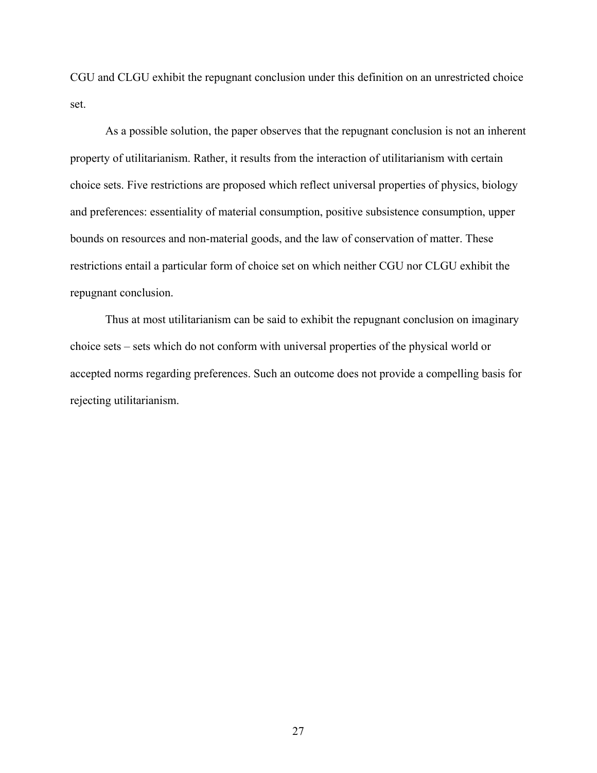CGU and CLGU exhibit the repugnant conclusion under this definition on an unrestricted choice set.

As a possible solution, the paper observes that the repugnant conclusion is not an inherent property of utilitarianism. Rather, it results from the interaction of utilitarianism with certain choice sets. Five restrictions are proposed which reflect universal properties of physics, biology and preferences: essentiality of material consumption, positive subsistence consumption, upper bounds on resources and non-material goods, and the law of conservation of matter. These restrictions entail a particular form of choice set on which neither CGU nor CLGU exhibit the repugnant conclusion.

Thus at most utilitarianism can be said to exhibit the repugnant conclusion on imaginary choice sets – sets which do not conform with universal properties of the physical world or accepted norms regarding preferences. Such an outcome does not provide a compelling basis for rejecting utilitarianism.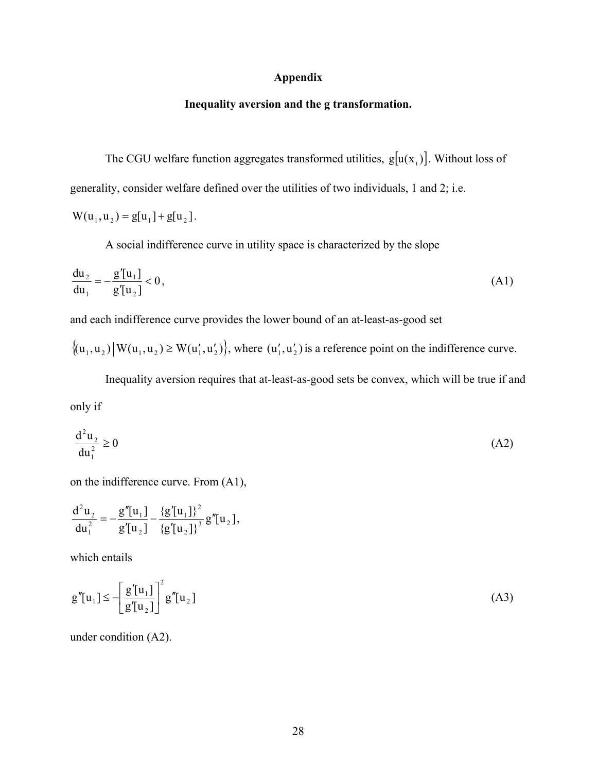#### **Appendix**

## **Inequality aversion and the g transformation.**

The CGU welfare function aggregates transformed utilities,  $g[u(x_i)]$ . Without loss of generality, consider welfare defined over the utilities of two individuals, 1 and 2; i.e.

$$
W(u_1, u_2) = g[u_1] + g[u_2].
$$

A social indifference curve in utility space is characterized by the slope

$$
\frac{du_2}{du_1} = -\frac{g'[u_1]}{g'[u_2]} < 0,
$$
\n(A1)

and each indifference curve provides the lower bound of an at-least-as-good set

 ${(u_1, u_1) | W(u_1, u_2) \ge W(u'_1, u'_2)}$ , where  $(u'_1, u'_2)$  is a reference point on the indifference curve.

Inequality aversion requires that at-least-as-good sets be convex, which will be true if and only if

$$
\frac{\mathrm{d}^2 \mathbf{u}_2}{\mathrm{d}\mathbf{u}_1^2} \ge 0\tag{A2}
$$

on the indifference curve. From (A1),

$$
\frac{d^2u_2}{du_1^2} = -\frac{g''[u_1]}{g'[u_2]} - \frac{\{g'[u_1]\}^2}{\{g'[u_2]\}^3}g''[u_2],
$$

which entails

$$
\mathbf{g}''[\mathbf{u}_1] \le -\left[\frac{\mathbf{g}'[\mathbf{u}_1]}{\mathbf{g}'[\mathbf{u}_2]}\right]^2 \mathbf{g}''[\mathbf{u}_2] \tag{A3}
$$

under condition (A2).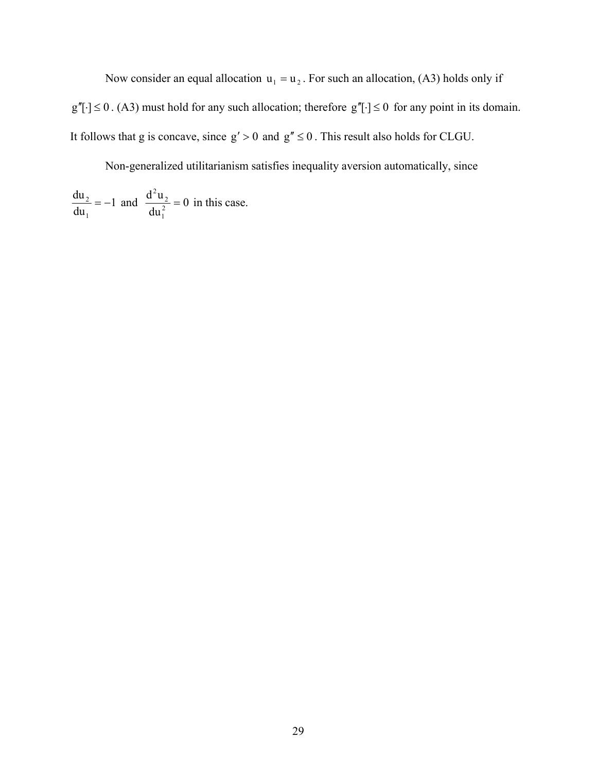Now consider an equal allocation  $u_1 = u_2$ . For such an allocation, (A3) holds only if  $g''[\cdot] \leq 0$ . (A3) must hold for any such allocation; therefore  $g''[\cdot] \leq 0$  for any point in its domain. It follows that g is concave, since  $g' > 0$  and  $g'' \le 0$ . This result also holds for CLGU.

Non-generalized utilitarianism satisfies inequality aversion automatically, since

1 du du 1  $x^2 = -1$  and  $\frac{u u_2}{1} = 0$ du  $d^2u$ 2 1 2 2  $= 0$  in this case.